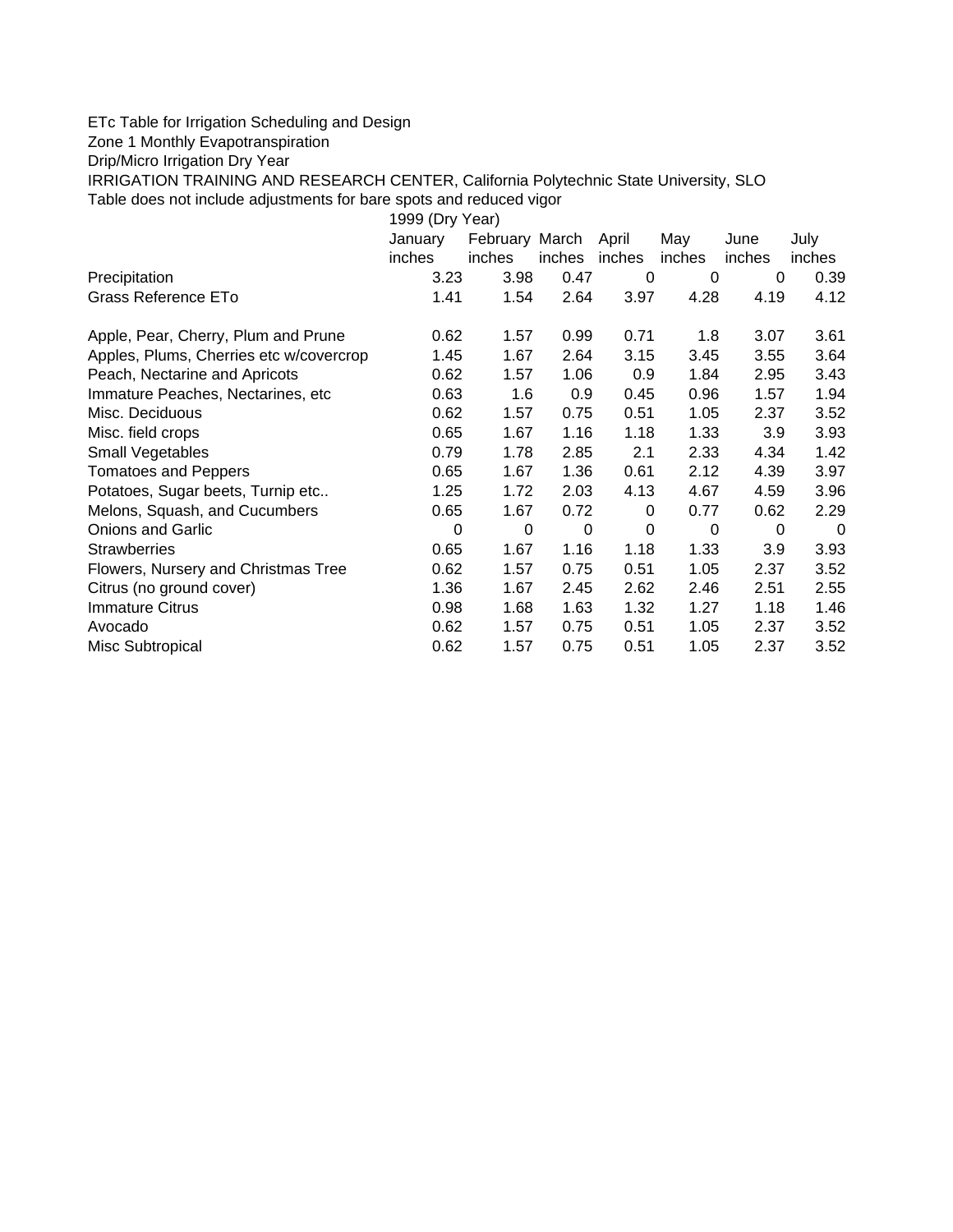## ETc Table for Irrigation Scheduling and Design

Zone 1 Monthly Evapotranspiration

Drip/Micro Irrigation Dry Year

IRRIGATION TRAINING AND RESEARCH CENTER, California Polytechnic State University, SLO

Table does not include adjustments for bare spots and reduced vigor

| 1999 (Dry Year)                         |             |                |        |        |        |        |        |  |  |  |  |
|-----------------------------------------|-------------|----------------|--------|--------|--------|--------|--------|--|--|--|--|
|                                         | January     | February March |        | April  | May    | June   | July   |  |  |  |  |
|                                         | inches      | inches         | inches | inches | inches | inches | inches |  |  |  |  |
| Precipitation                           | 3.23        | 3.98           | 0.47   | 0      | 0      | 0      | 0.39   |  |  |  |  |
| Grass Reference ETo                     | 1.41        | 1.54           | 2.64   | 3.97   | 4.28   | 4.19   | 4.12   |  |  |  |  |
| Apple, Pear, Cherry, Plum and Prune     | 0.62        | 1.57           | 0.99   | 0.71   | 1.8    | 3.07   | 3.61   |  |  |  |  |
| Apples, Plums, Cherries etc w/covercrop | 1.45        | 1.67           | 2.64   | 3.15   | 3.45   | 3.55   | 3.64   |  |  |  |  |
| Peach, Nectarine and Apricots           | 0.62        | 1.57           | 1.06   | 0.9    | 1.84   | 2.95   | 3.43   |  |  |  |  |
| Immature Peaches, Nectarines, etc.      | 0.63        | 1.6            | 0.9    | 0.45   | 0.96   | 1.57   | 1.94   |  |  |  |  |
| Misc. Deciduous                         | 0.62        | 1.57           | 0.75   | 0.51   | 1.05   | 2.37   | 3.52   |  |  |  |  |
| Misc. field crops                       | 0.65        | 1.67           | 1.16   | 1.18   | 1.33   | 3.9    | 3.93   |  |  |  |  |
| Small Vegetables                        | 0.79        | 1.78           | 2.85   | 2.1    | 2.33   | 4.34   | 1.42   |  |  |  |  |
| <b>Tomatoes and Peppers</b>             | 0.65        | 1.67           | 1.36   | 0.61   | 2.12   | 4.39   | 3.97   |  |  |  |  |
| Potatoes, Sugar beets, Turnip etc       | 1.25        | 1.72           | 2.03   | 4.13   | 4.67   | 4.59   | 3.96   |  |  |  |  |
| Melons, Squash, and Cucumbers           | 0.65        | 1.67           | 0.72   | 0      | 0.77   | 0.62   | 2.29   |  |  |  |  |
| <b>Onions and Garlic</b>                | $\mathbf 0$ | 0              | 0      | 0      | 0      | 0      | 0      |  |  |  |  |
| <b>Strawberries</b>                     | 0.65        | 1.67           | 1.16   | 1.18   | 1.33   | 3.9    | 3.93   |  |  |  |  |
| Flowers, Nursery and Christmas Tree     | 0.62        | 1.57           | 0.75   | 0.51   | 1.05   | 2.37   | 3.52   |  |  |  |  |
| Citrus (no ground cover)                | 1.36        | 1.67           | 2.45   | 2.62   | 2.46   | 2.51   | 2.55   |  |  |  |  |
| <b>Immature Citrus</b>                  | 0.98        | 1.68           | 1.63   | 1.32   | 1.27   | 1.18   | 1.46   |  |  |  |  |
| Avocado                                 | 0.62        | 1.57           | 0.75   | 0.51   | 1.05   | 2.37   | 3.52   |  |  |  |  |
| Misc Subtropical                        | 0.62        | 1.57           | 0.75   | 0.51   | 1.05   | 2.37   | 3.52   |  |  |  |  |